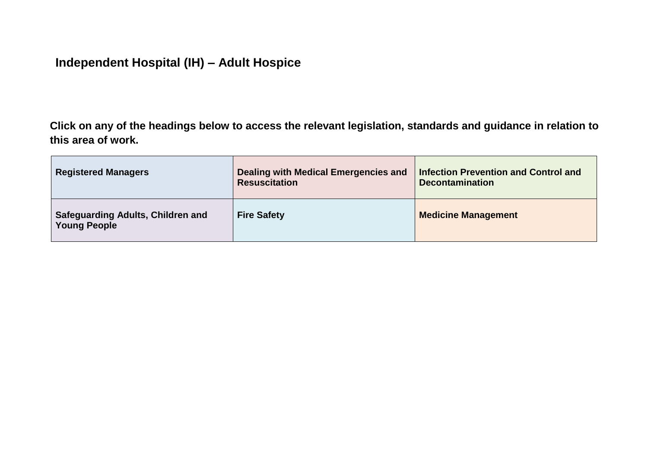## **Independent Hospital (IH) – Adult Hospice**

**Click on any of the headings below to access the relevant legislation, standards and guidance in relation to this area of work.**

| <b>Registered Managers</b>                                      | Dealing with Medical Emergencies and<br><b>Resuscitation</b> | <b>Infection Prevention and Control and</b><br><b>Decontamination</b> |
|-----------------------------------------------------------------|--------------------------------------------------------------|-----------------------------------------------------------------------|
| <b>Safeguarding Adults, Children and</b><br><b>Young People</b> | <b>Fire Safety</b>                                           | <b>Medicine Management</b>                                            |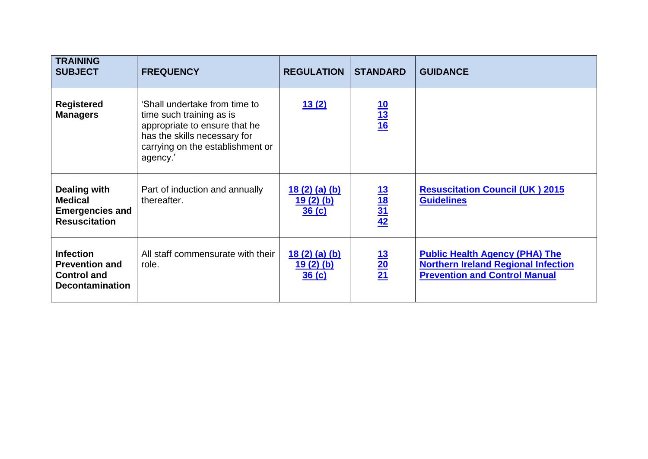<span id="page-1-0"></span>

| <b>TRAINING</b><br><b>SUBJECT</b>                                                         | <b>FREQUENCY</b>                                                                                                                                                           | <b>REGULATION</b>                   | <b>STANDARD</b>                    | <b>GUIDANCE</b>                                                                                                             |
|-------------------------------------------------------------------------------------------|----------------------------------------------------------------------------------------------------------------------------------------------------------------------------|-------------------------------------|------------------------------------|-----------------------------------------------------------------------------------------------------------------------------|
| <b>Registered</b><br><b>Managers</b>                                                      | 'Shall undertake from time to<br>time such training as is<br>appropriate to ensure that he<br>has the skills necessary for<br>carrying on the establishment or<br>agency.' | 13(2)                               | $\frac{10}{13}$ $\frac{10}{16}$    |                                                                                                                             |
| Dealing with<br><b>Medical</b><br><b>Emergencies and</b><br><b>Resuscitation</b>          | Part of induction and annually<br>thereafter.                                                                                                                              | 18(2)(a)(b)<br>$19(2)$ (b)<br>36(c) | $\frac{13}{18}$<br>$\frac{31}{42}$ | <b>Resuscitation Council (UK) 2015</b><br><b>Guidelines</b>                                                                 |
| <b>Infection</b><br><b>Prevention and</b><br><b>Control and</b><br><b>Decontamination</b> | All staff commensurate with their<br>role.                                                                                                                                 | 18(2)(a)(b)<br>$19(2)$ (b)<br>36(c) | $\frac{13}{20}$                    | <b>Public Health Agency (PHA) The</b><br><b>Northern Ireland Regional Infection</b><br><b>Prevention and Control Manual</b> |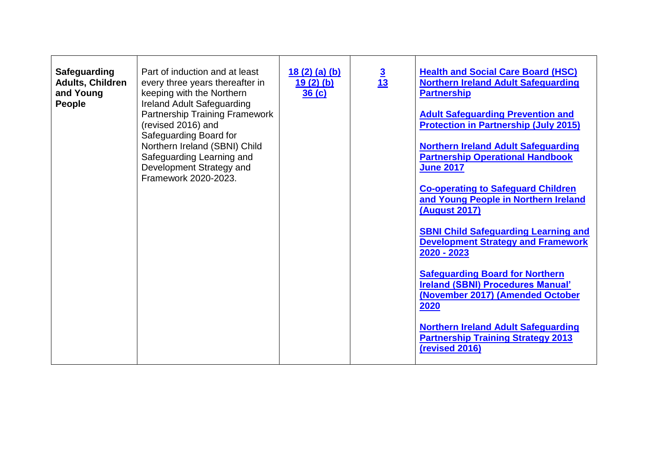<span id="page-2-0"></span>

| <b>Safeguarding</b><br><b>Adults, Children</b><br>and Young<br>People | Part of induction and at least<br>every three years thereafter in<br>keeping with the Northern<br><b>Ireland Adult Safeguarding</b><br><b>Partnership Training Framework</b><br>(revised 2016) and<br>Safeguarding Board for<br>Northern Ireland (SBNI) Child<br>Safeguarding Learning and<br>Development Strategy and<br>Framework 2020-2023. | 18(2)(a)(b)<br>$19(2)$ (b)<br>36(c) | $\frac{3}{13}$ | <b>Health and Social Care Board (HSC)</b><br><b>Northern Ireland Adult Safeguarding</b><br><b>Partnership</b><br><b>Adult Safeguarding Prevention and</b><br><b>Protection in Partnership (July 2015)</b><br><b>Northern Ireland Adult Safeguarding</b><br><b>Partnership Operational Handbook</b><br><b>June 2017</b><br><b>Co-operating to Safeguard Children</b><br>and Young People in Northern Ireland<br><b>(August 2017)</b> |
|-----------------------------------------------------------------------|------------------------------------------------------------------------------------------------------------------------------------------------------------------------------------------------------------------------------------------------------------------------------------------------------------------------------------------------|-------------------------------------|----------------|-------------------------------------------------------------------------------------------------------------------------------------------------------------------------------------------------------------------------------------------------------------------------------------------------------------------------------------------------------------------------------------------------------------------------------------|
|                                                                       |                                                                                                                                                                                                                                                                                                                                                |                                     |                | <b>SBNI Child Safeguarding Learning and</b><br><b>Development Strategy and Framework</b><br>2020 - 2023<br><b>Safeguarding Board for Northern</b><br><b>Ireland (SBNI) Procedures Manual'</b><br>(November 2017) (Amended October<br>2020<br><b>Northern Ireland Adult Safeguarding</b><br><b>Partnership Training Strategy 2013</b><br>(revised 2016)                                                                              |